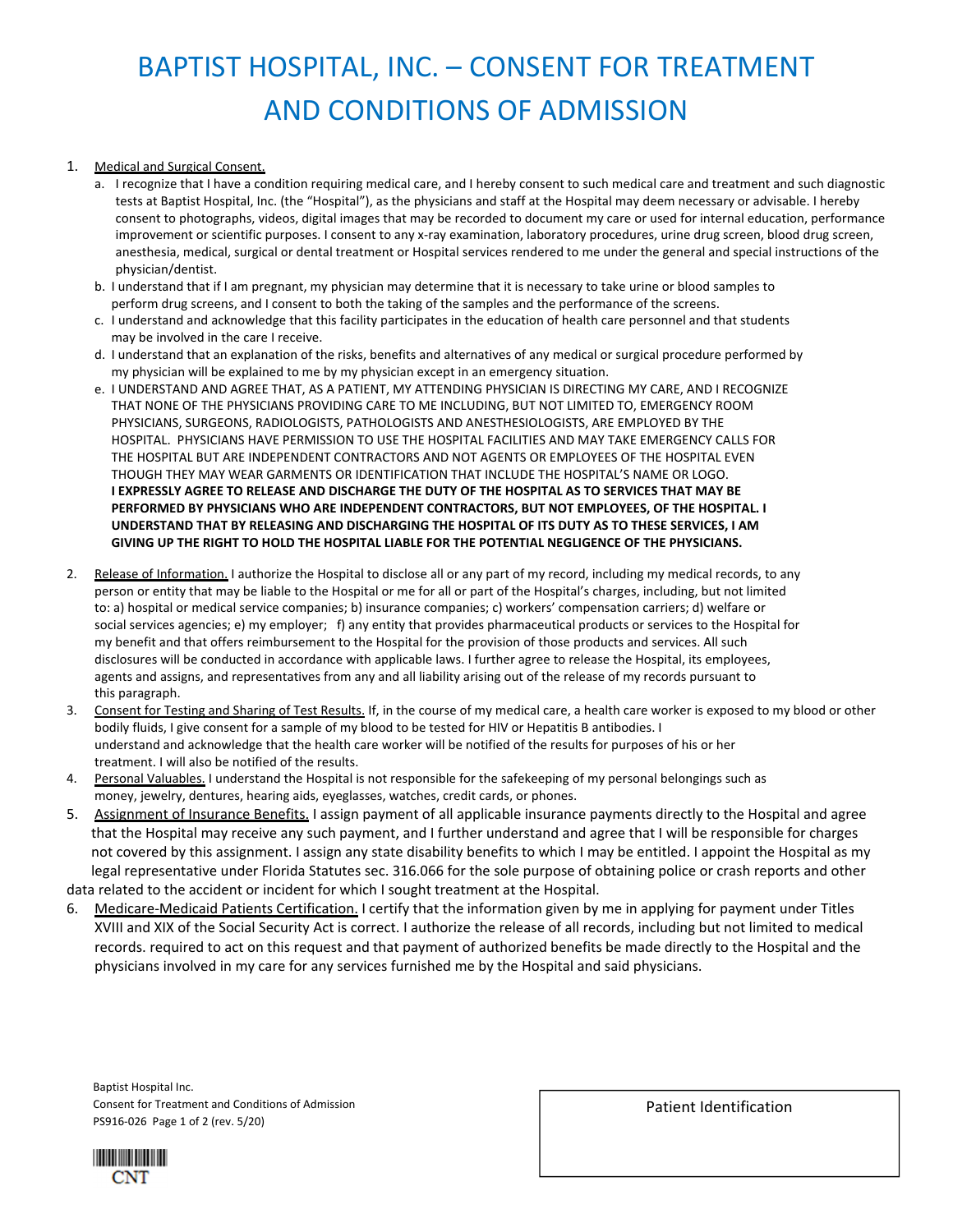# BAPTIST HOSPITAL, INC. – CONSENT FOR TREATMENT AND CONDITIONS OF ADMISSION

### 1. Medical and Surgical Consent.

- a. I recognize that I have a condition requiring medical care, and I hereby consent to such medical care and treatment and such diagnostic tests at Baptist Hospital, Inc. (the "Hospital"), as the physicians and staff at the Hospital may deem necessary or advisable. I hereby consent to photographs, videos, digital images that may be recorded to document my care or used for internal education, performance improvement or scientific purposes. I consent to any x-ray examination, laboratory procedures, urine drug screen, blood drug screen, anesthesia, medical, surgical or dental treatment or Hospital services rendered to me under the general and special instructions of the physician/dentist.
- b. I understand that if I am pregnant, my physician may determine that it is necessary to take urine or blood samples to perform drug screens, and I consent to both the taking of the samples and the performance of the screens.
- c. I understand and acknowledge that this facility participates in the education of health care personnel and that students may be involved in the care I receive.
- d. I understand that an explanation of the risks, benefits and alternatives of any medical or surgical procedure performed by my physician will be explained to me by my physician except in an emergency situation.
- e. I UNDERSTAND AND AGREE THAT, AS A PATIENT, MY ATTENDING PHYSICIAN IS DIRECTING MY CARE, AND I RECOGNIZE THAT NONE OF THE PHYSICIANS PROVIDING CARE TO ME INCLUDING, BUT NOT LIMITED TO, EMERGENCY ROOM PHYSICIANS, SURGEONS, RADIOLOGISTS, PATHOLOGISTS AND ANESTHESIOLOGISTS, ARE EMPLOYED BY THE HOSPITAL. PHYSICIANS HAVE PERMISSION TO USE THE HOSPITAL FACILITIES AND MAY TAKE EMERGENCY CALLS FOR THE HOSPITAL BUT ARE INDEPENDENT CONTRACTORS AND NOT AGENTS OR EMPLOYEES OF THE HOSPITAL EVEN THOUGH THEY MAY WEAR GARMENTS OR IDENTIFICATION THAT INCLUDE THE HOSPITAL'S NAME OR LOGO. I EXPRESSLY AGREE TO RELEASE AND DISCHARGE THE DUTY OF THE HOSPITAL AS TO SERVICES THAT MAY BE  **PERFORMED BY PHYSICIANS WHO ARE INDEPENDENT CONTRACTORS, BUT NOT EMPLOYEES, OF THE HOSPITAL. I**  UNDERSTAND THAT BY RELEASING AND DISCHARGING THE HOSPITAL OF ITS DUTY AS TO THESE SERVICES. I AM  **GIVING UP THE RIGHT TO HOLD THE HOSPITAL LIABLE FOR THE POTENTIAL NEGLIGENCE OF THE PHYSICIANS.**
- 2. Release of Information. I authorize the Hospital to disclose all or any part of my record, including my medical records, to any person or entity that may be liable to the Hospital or me for all or part of the Hospital's charges, including, but not limited to: a) hospital or medical service companies; b) insurance companies; c) workers' compensation carriers; d) welfare or social services agencies; e) my employer; f) any entity that provides pharmaceutical products or services to the Hospital for my benefit and that offers reimbursement to the Hospital for the provision of those products and services. All such disclosures will be conducted in accordance with applicable laws. I further agree to release the Hospital, its employees, agents and assigns, and representatives from any and all liability arising out of the release of my records pursuant to this paragraph.
- 3. Consent for Testing and Sharing of Test Results. If, in the course of my medical care, a health care worker is exposed to my blood or other bodily fluids, I give consent for a sample of my blood to be tested for HIV or Hepatitis B antibodies. I understand and acknowledge that the health care worker will be notified of the results for purposes of his or her treatment. I will also be notified of the results.
- 4. Personal Valuables. I understand the Hospital is not responsible for the safekeeping of my personal belongings such as money, jewelry, dentures, hearing aids, eyeglasses, watches, credit cards, or phones.
- 5. Assignment of Insurance Benefits. I assign payment of all applicable insurance payments directly to the Hospital and agree that the Hospital may receive any such payment, and I further understand and agree that I will be responsible for charges not covered by this assignment. I assign any state disability benefits to which I may be entitled. I appoint the Hospital as my legal representative under Florida Statutes sec. 316.066 for the sole purpose of obtaining police or crash reports and other data related to the accident or incident for which I sought treatment at the Hospital.
- 6. Medicare-Medicaid Patients Certification. I certify that the information given by me in applying for payment under Titles XVIII and XIX of the Social Security Act is correct. I authorize the release of all records, including but not limited to medical records. required to act on this request and that payment of authorized benefits be made directly to the Hospital and the physicians involved in my care for any services furnished me by the Hospital and said physicians.

Baptist Hospital Inc. Consent for Treatment and Conditions of Admission PS916‐026 Page 1 of 2 (rev. 5/20)

Patient Identification

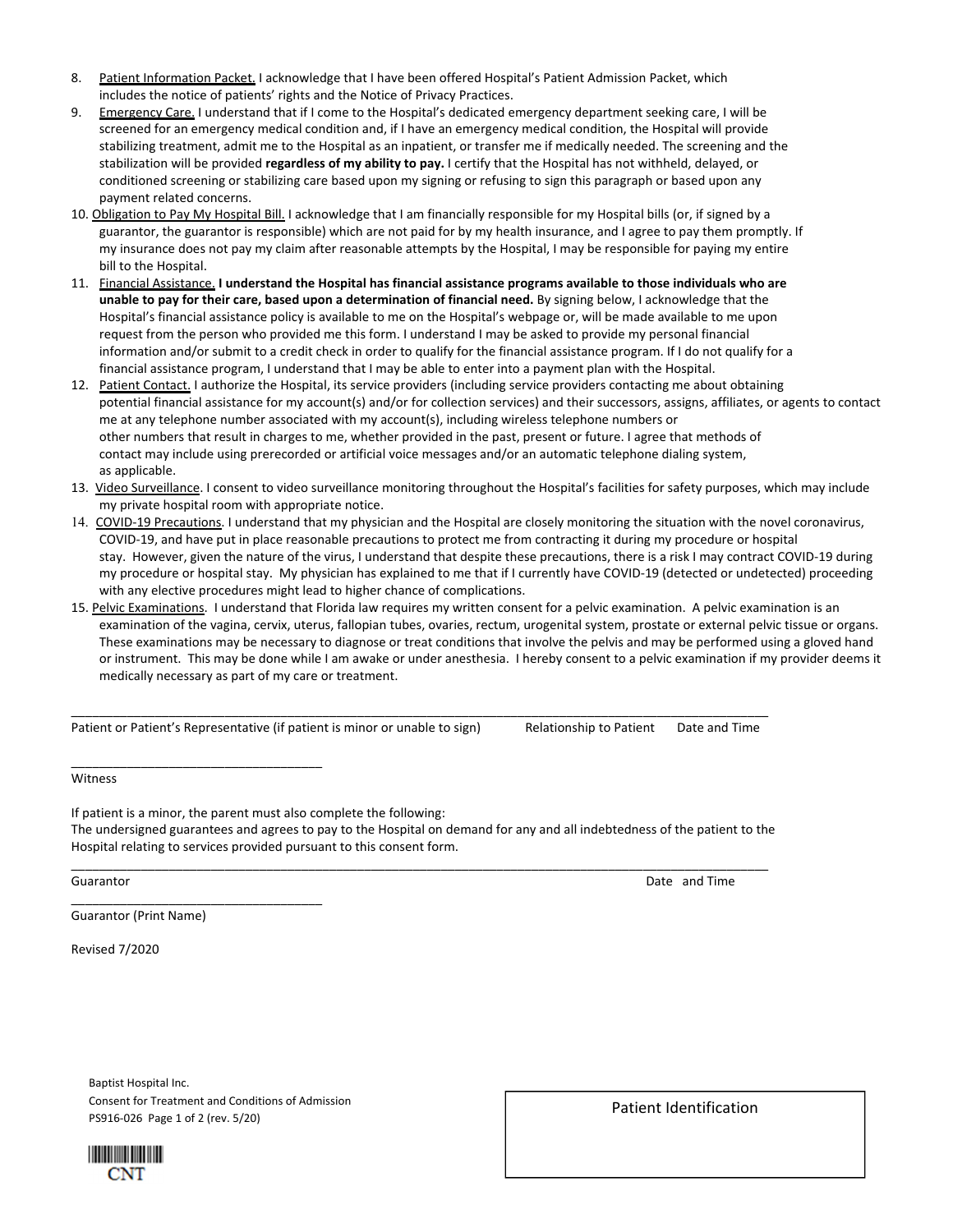- 8. Patient Information Packet. I acknowledge that I have been offered Hospital's Patient Admission Packet, which includes the notice of patients' rights and the Notice of Privacy Practices.
- 9. Emergency Care. I understand that if I come to the Hospital's dedicated emergency department seeking care, I will be screened for an emergency medical condition and, if I have an emergency medical condition, the Hospital will provide stabilizing treatment, admit me to the Hospital as an inpatient, or transfer me if medically needed. The screening and the stabilization will be provided **regardless of my ability to pay.** I certify that the Hospital has not withheld, delayed, or conditioned screening or stabilizing care based upon my signing or refusing to sign this paragraph or based upon any payment related concerns.
- 10. Obligation to Pay My Hospital Bill. I acknowledge that I am financially responsible for my Hospital bills (or, if signed by a guarantor, the guarantor is responsible) which are not paid for by my health insurance, and I agree to pay them promptly. If my insurance does not pay my claim after reasonable attempts by the Hospital, I may be responsible for paying my entire bill to the Hospital.
- 11. Financial Assistance, I understand the Hospital has financial assistance programs available to those individuals who are **unable to pay for their care, based upon a determination of financial need.** By signing below, I acknowledge that the Hospital's financial assistance policy is available to me on the Hospital's webpage or, will be made available to me upon request from the person who provided me this form. I understand I may be asked to provide my personal financial information and/or submit to a credit check in order to qualify for the financial assistance program. If I do not qualify for a financial assistance program, I understand that I may be able to enter into a payment plan with the Hospital.
- 12. Patient Contact. I authorize the Hospital, its service providers (including service providers contacting me about obtaining potential financial assistance for my account(s) and/or for collection services) and their successors, assigns, affiliates, or agents to contact me at any telephone number associated with my account(s), including wireless telephone numbers or other numbers that result in charges to me, whether provided in the past, present or future. I agree that methods of contact may include using prerecorded or artificial voice messages and/or an automatic telephone dialing system, as applicable.
- 13. Video Surveillance. I consent to video surveillance monitoring throughout the Hospital's facilities for safety purposes, which may include my private hospital room with appropriate notice.
- 14. COVID-19 Precautions. I understand that my physician and the Hospital are closely monitoring the situation with the novel coronavirus, COVID‐19, and have put in place reasonable precautions to protect me from contracting it during my procedure or hospital stay. However, given the nature of the virus, I understand that despite these precautions, there is a risk I may contract COVID‐19 during my procedure or hospital stay. My physician has explained to me that if I currently have COVID‐19 (detected or undetected) proceeding with any elective procedures might lead to higher chance of complications.
- 15. Pelvic Examinations. I understand that Florida law requires my written consent for a pelvic examination. A pelvic examination is an examination of the vagina, cervix, uterus, fallopian tubes, ovaries, rectum, urogenital system, prostate or external pelvic tissue or organs. These examinations may be necessary to diagnose or treat conditions that involve the pelvis and may be performed using a gloved hand or instrument. This may be done while I am awake or under anesthesia. I hereby consent to a pelvic examination if my provider deems it medically necessary as part of my care or treatment.

Patient or Patient's Representative (if patient is minor or unable to sign) Relationship to Patient Date and Time

\_\_\_\_\_\_\_\_\_\_\_\_\_\_\_\_\_\_\_\_\_\_\_\_\_\_\_\_\_\_\_\_\_\_\_\_\_\_\_\_\_\_\_\_\_\_\_\_\_\_\_\_\_\_\_\_\_\_\_\_\_\_\_\_\_\_\_\_\_\_\_\_\_\_\_\_\_\_\_\_\_\_\_\_\_\_\_\_\_\_\_\_\_\_\_\_\_\_\_\_

\_\_\_\_\_\_\_\_\_\_\_\_\_\_\_\_\_\_\_\_\_\_\_\_\_\_\_\_\_\_\_\_\_\_\_\_ Witness

If patient is a minor, the parent must also complete the following: The undersigned guarantees and agrees to pay to the Hospital on demand for any and all indebtedness of the patient to the Hospital relating to services provided pursuant to this consent form.

Guarantor (Print Name)

\_\_\_\_\_\_\_\_\_\_\_\_\_\_\_\_\_\_\_\_\_\_\_\_\_\_\_\_\_\_\_\_\_\_\_\_

Revised 7/2020

Baptist Hospital Inc. Consent for Treatment and Conditions of Admission PS916‐026 Page 1 of 2 (rev. 5/20)



Patient Identification

\_\_\_\_\_\_\_\_\_\_\_\_\_\_\_\_\_\_\_\_\_\_\_\_\_\_\_\_\_\_\_\_\_\_\_\_\_\_\_\_\_\_\_\_\_\_\_\_\_\_\_\_\_\_\_\_\_\_\_\_\_\_\_\_\_\_\_\_\_\_\_\_\_\_\_\_\_\_\_\_\_\_\_\_\_\_\_\_\_\_\_\_\_\_\_\_\_\_\_\_ Guarantor **Date and Time** and Time **Date and Time** and Time **Date and Time**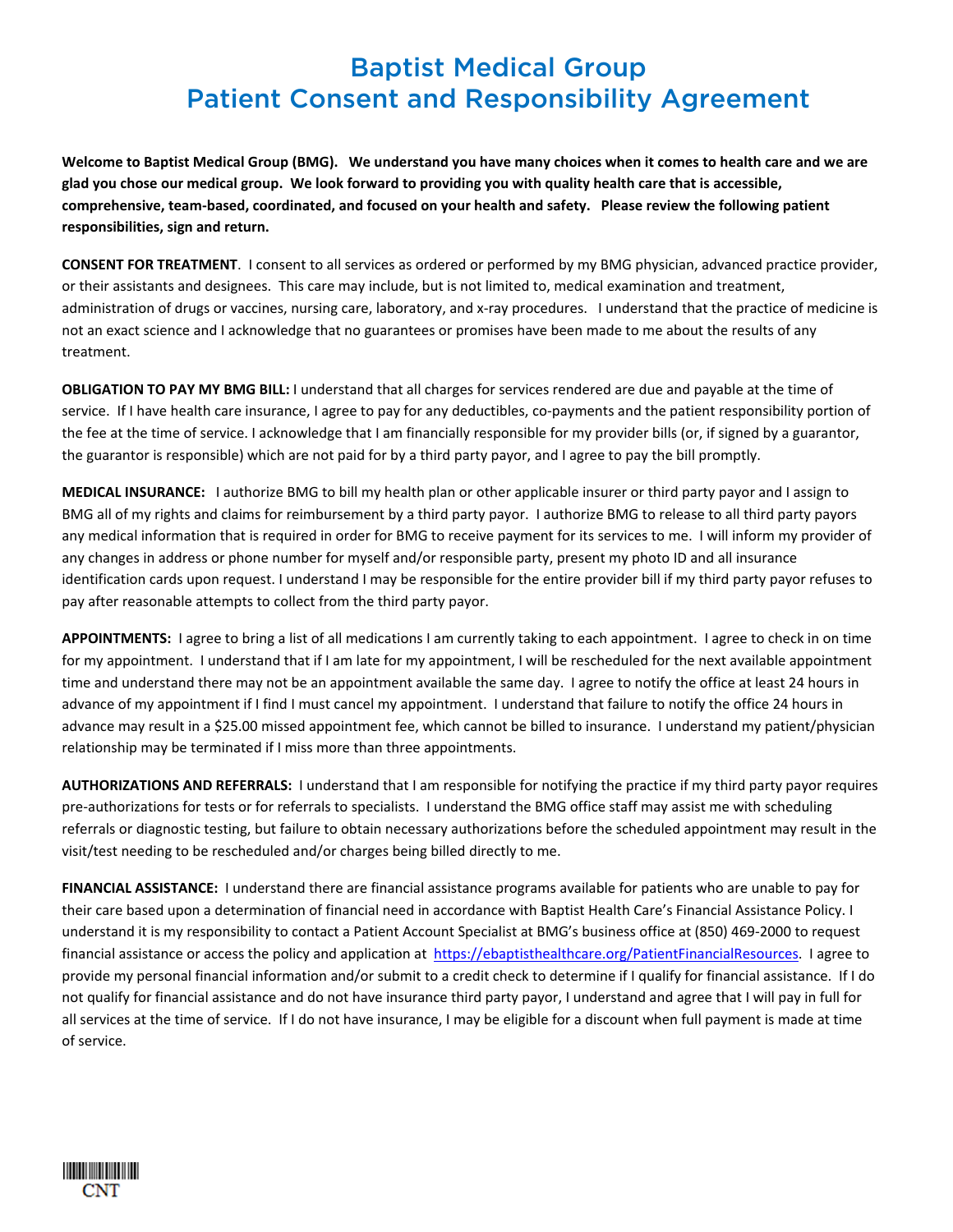# Baptist Medical Group Patient Consent and Responsibility Agreement

Welcome to Baptist Medical Group (BMG). We understand you have many choices when it comes to health care and we are glad you chose our medical group. We look forward to providing you with quality health care that is accessible, comprehensive, team-based, coordinated, and focused on your health and safety. Please review the following patient **responsibilities, sign and return.** 

**CONSENT FOR TREATMENT**. I consent to all services as ordered or performed by my BMG physician, advanced practice provider, or their assistants and designees. This care may include, but is not limited to, medical examination and treatment, administration of drugs or vaccines, nursing care, laboratory, and x-ray procedures. I understand that the practice of medicine is not an exact science and I acknowledge that no guarantees or promises have been made to me about the results of any treatment.

**OBLIGATION TO PAY MY BMG BILL:** I understand that all charges for services rendered are due and payable at the time of service. If I have health care insurance, I agree to pay for any deductibles, co-payments and the patient responsibility portion of the fee at the time of service. I acknowledge that I am financially responsible for my provider bills (or, if signed by a guarantor, the guarantor is responsible) which are not paid for by a third party payor, and I agree to pay the bill promptly.

**MEDICAL INSURANCE:** I authorize BMG to bill my health plan or other applicable insurer or third party payor and I assign to BMG all of my rights and claims for reimbursement by a third party payor. I authorize BMG to release to all third party payors any medical information that is required in order for BMG to receive payment for its services to me. I will inform my provider of any changes in address or phone number for myself and/or responsible party, present my photo ID and all insurance identification cards upon request. I understand I may be responsible for the entire provider bill if my third party payor refuses to pay after reasonable attempts to collect from the third party payor.

APPOINTMENTS: I agree to bring a list of all medications I am currently taking to each appointment. I agree to check in on time for my appointment. I understand that if I am late for my appointment, I will be rescheduled for the next available appointment time and understand there may not be an appointment available the same day. I agree to notify the office at least 24 hours in advance of my appointment if I find I must cancel my appointment. I understand that failure to notify the office 24 hours in advance may result in a \$25.00 missed appointment fee, which cannot be billed to insurance. I understand my patient/physician relationship may be terminated if I miss more than three appointments.

**AUTHORIZATIONS AND REFERRALS:** I understand that I am responsible for notifying the practice if my third party payor requires pre-authorizations for tests or for referrals to specialists. I understand the BMG office staff may assist me with scheduling referrals or diagnostic testing, but failure to obtain necessary authorizations before the scheduled appointment may result in the visit/test needing to be rescheduled and/or charges being billed directly to me.

FINANCIAL ASSISTANCE: I understand there are financial assistance programs available for patients who are unable to pay for their care based upon a determination of financial need in accordance with Baptist Health Care's Financial Assistance Policy. I understand it is my responsibility to contact a Patient Account Specialist at BMG's business office at (850) 469‐2000 to request financial assistance or access the policy and application at https://ebaptisthealthcare.org/PatientFinancialResources. I agree to provide my personal financial information and/or submit to a credit check to determine if I qualify for financial assistance. If I do not qualify for financial assistance and do not have insurance third party payor, I understand and agree that I will pay in full for all services at the time of service. If I do not have insurance, I may be eligible for a discount when full payment is made at time of service.

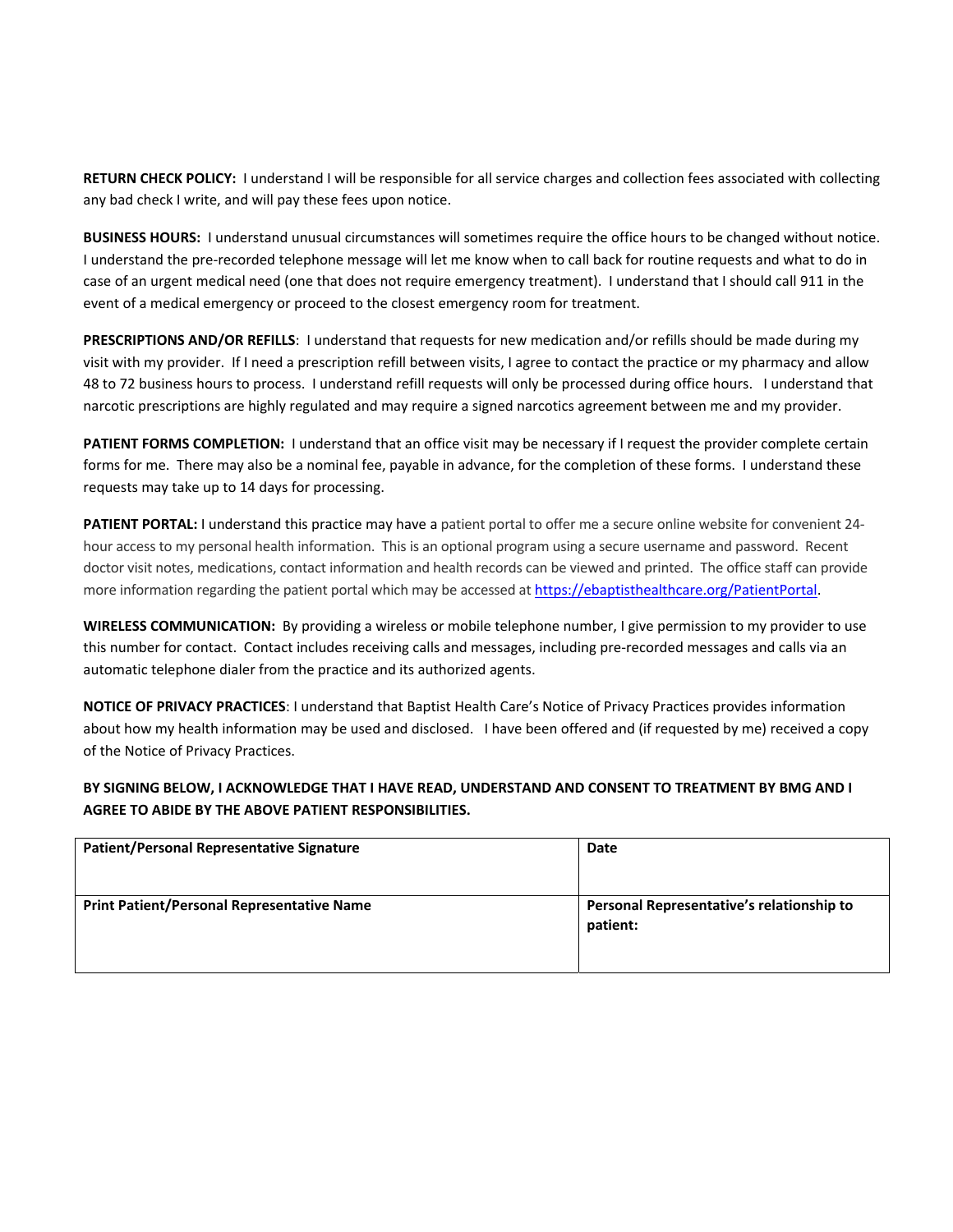**RETURN CHECK POLICY:** I understand I will be responsible for all service charges and collection fees associated with collecting any bad check I write, and will pay these fees upon notice.

**BUSINESS HOURS:** I understand unusual circumstances will sometimes require the office hours to be changed without notice. I understand the pre-recorded telephone message will let me know when to call back for routine requests and what to do in case of an urgent medical need (one that does not require emergency treatment). I understand that I should call 911 in the event of a medical emergency or proceed to the closest emergency room for treatment.

**PRESCRIPTIONS AND/OR REFILLS**: I understand that requests for new medication and/or refills should be made during my visit with my provider. If I need a prescription refill between visits, I agree to contact the practice or my pharmacy and allow 48 to 72 business hours to process. I understand refill requests will only be processed during office hours. I understand that narcotic prescriptions are highly regulated and may require a signed narcotics agreement between me and my provider.

**PATIENT FORMS COMPLETION:** I understand that an office visit may be necessary if I request the provider complete certain forms for me. There may also be a nominal fee, payable in advance, for the completion of these forms. I understand these requests may take up to 14 days for processing.

**PATIENT PORTAL:** I understand this practice may have a patient portal to offer me a secure online website for convenient 24‐ hour access to my personal health information. This is an optional program using a secure username and password. Recent doctor visit notes, medications, contact information and health records can be viewed and printed. The office staff can provide more information regarding the patient portal which may be accessed at https://ebaptisthealthcare.org/PatientPortal.

**WIRELESS COMMUNICATION:** By providing a wireless or mobile telephone number, I give permission to my provider to use this number for contact. Contact includes receiving calls and messages, including pre‐recorded messages and calls via an automatic telephone dialer from the practice and its authorized agents.

**NOTICE OF PRIVACY PRACTICES**: I understand that Baptist Health Care's Notice of Privacy Practices provides information about how my health information may be used and disclosed. I have been offered and (if requested by me) received a copy of the Notice of Privacy Practices.

**BY SIGNING BELOW, I ACKNOWLEDGE THAT I HAVE READ, UNDERSTAND AND CONSENT TO TREATMENT BY BMG AND I AGREE TO ABIDE BY THE ABOVE PATIENT RESPONSIBILITIES.**

| <b>Patient/Personal Representative Signature</b>  | Date                                                  |
|---------------------------------------------------|-------------------------------------------------------|
| <b>Print Patient/Personal Representative Name</b> | Personal Representative's relationship to<br>patient: |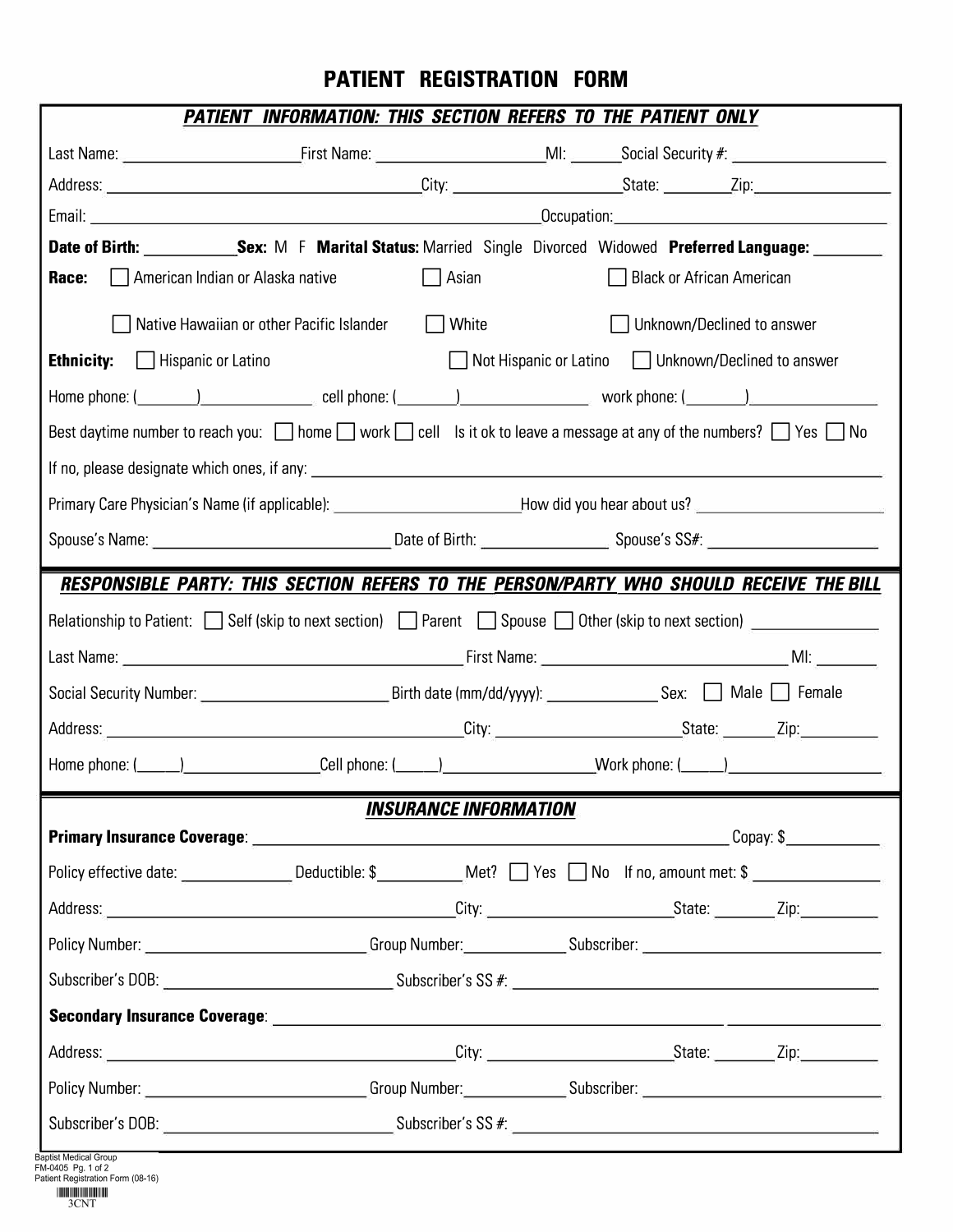## **PATIENT REGISTRATION FORM**

|                                           | Date of Birth: Sex: M F Marital Status: Married Single Divorced Widowed Preferred Language: Sex: M F Marital Status: Married Single Divorced Widowed Preferred Language:                                                     |                                                     |  |
|-------------------------------------------|------------------------------------------------------------------------------------------------------------------------------------------------------------------------------------------------------------------------------|-----------------------------------------------------|--|
| American Indian or Alaska native<br>Race: | Asian                                                                                                                                                                                                                        | Black or African American                           |  |
|                                           | Native Hawaiian or other Pacific Islander<br>  White                                                                                                                                                                         | Unknown/Declined to answer                          |  |
| <b>Ethnicity:</b><br>  Hispanic or Latino |                                                                                                                                                                                                                              | Not Hispanic or Latino   Unknown/Declined to answer |  |
|                                           |                                                                                                                                                                                                                              |                                                     |  |
|                                           | Best daytime number to reach you: $\Box$ home $\Box$ work $\Box$ cell is it ok to leave a message at any of the numbers? $\Box$ Yes $\Box$ No                                                                                |                                                     |  |
|                                           |                                                                                                                                                                                                                              |                                                     |  |
|                                           | Primary Care Physician's Name (if applicable): ______________________________How did you hear about us? _______________________________                                                                                      |                                                     |  |
|                                           |                                                                                                                                                                                                                              |                                                     |  |
|                                           | RESPONSIBLE PARTY: THIS SECTION REFERS TO THE PERSON/PARTY WHO SHOULD RECEIVE THE BILL<br>Relationship to Patient: $\Box$ Self (skip to next section) $\Box$ Parent $\Box$ Spouse $\Box$ Other (skip to next section) $\Box$ |                                                     |  |
|                                           |                                                                                                                                                                                                                              |                                                     |  |
|                                           | Home phone: (_____)___________________Cell phone: (_____)__________________Work phone: (_____)________________                                                                                                               |                                                     |  |
|                                           |                                                                                                                                                                                                                              |                                                     |  |
|                                           | <b>INSURANCE INFORMATION</b>                                                                                                                                                                                                 |                                                     |  |
|                                           |                                                                                                                                                                                                                              |                                                     |  |
|                                           |                                                                                                                                                                                                                              |                                                     |  |
|                                           |                                                                                                                                                                                                                              |                                                     |  |
|                                           |                                                                                                                                                                                                                              |                                                     |  |
|                                           |                                                                                                                                                                                                                              |                                                     |  |
|                                           |                                                                                                                                                                                                                              |                                                     |  |
|                                           |                                                                                                                                                                                                                              |                                                     |  |

3CNT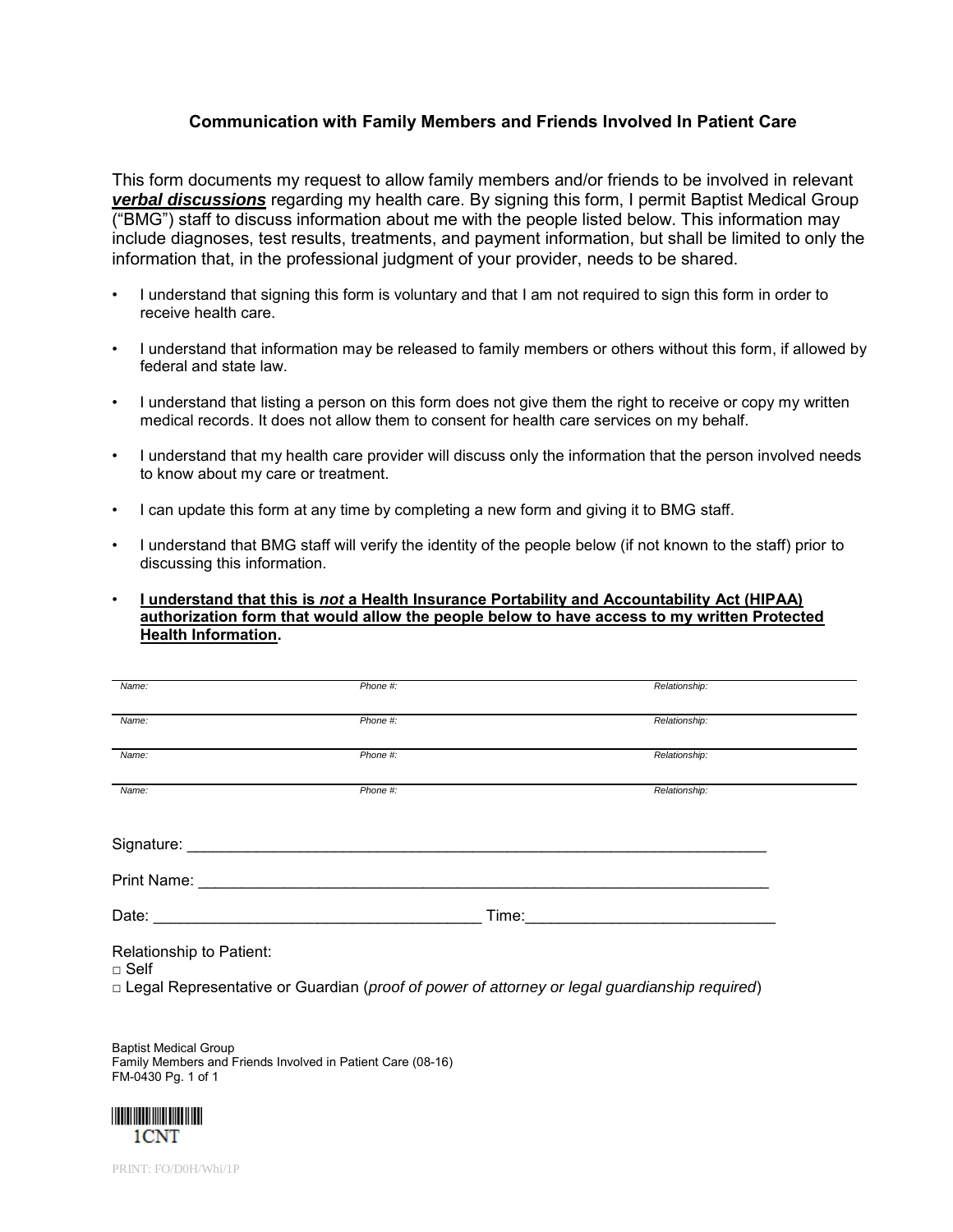### **Communication with Family Members and Friends Involved In Patient Care**

This form documents my request to allow family members and/or friends to be involved in relevant *verbal discussions* regarding my health care. By signing this form, I permit Baptist Medical Group ("BMG") staff to discuss information about me with the people listed below. This information may include diagnoses, test results, treatments, and payment information, but shall be limited to only the information that, in the professional judgment of your provider, needs to be shared.

- I understand that signing this form is voluntary and that I am not required to sign this form in order to receive health care.
- I understand that information may be released to family members or others without this form, if allowed by federal and state law.
- I understand that listing a person on this form does not give them the right to receive or copy my written medical records. It does not allow them to consent for health care services on my behalf.
- I understand that my health care provider will discuss only the information that the person involved needs to know about my care or treatment.
- I can update this form at any time by completing a new form and giving it to BMG staff.
- I understand that BMG staff will verify the identity of the people below (if not known to the staff) prior to discussing this information.
- **I understand that this is** *not* **a Health Insurance Portability and Accountability Act (HIPAA) authorization form that would allow the people below to have access to my written Protected Health Information.**

| Name:                                                                                                          | Phone #:                                         | Relationship:                                                                                  |  |
|----------------------------------------------------------------------------------------------------------------|--------------------------------------------------|------------------------------------------------------------------------------------------------|--|
| Name:                                                                                                          | Phone #:                                         | Relationship:                                                                                  |  |
| Name:                                                                                                          | Phone #:                                         | Relationship:                                                                                  |  |
| Name:                                                                                                          | Phone #:                                         | Relationship:                                                                                  |  |
|                                                                                                                |                                                  |                                                                                                |  |
| Print Name: Name: Name and Name and Name and Name and Name and Name and Name and Name and Name and Name and Na |                                                  |                                                                                                |  |
|                                                                                                                | Date: <u>___________________________________</u> |                                                                                                |  |
| Relationship to Patient:<br>$\square$ Self                                                                     |                                                  |                                                                                                |  |
|                                                                                                                |                                                  | □ Legal Representative or Guardian (proof of power of attorney or legal guardianship required) |  |
|                                                                                                                |                                                  |                                                                                                |  |

Baptist Medical Group Family Members and Friends Involved in Patient Care (08-16) FM-0430 Pg. 1 of 1



PRINT: FO/D0H/Whi/1P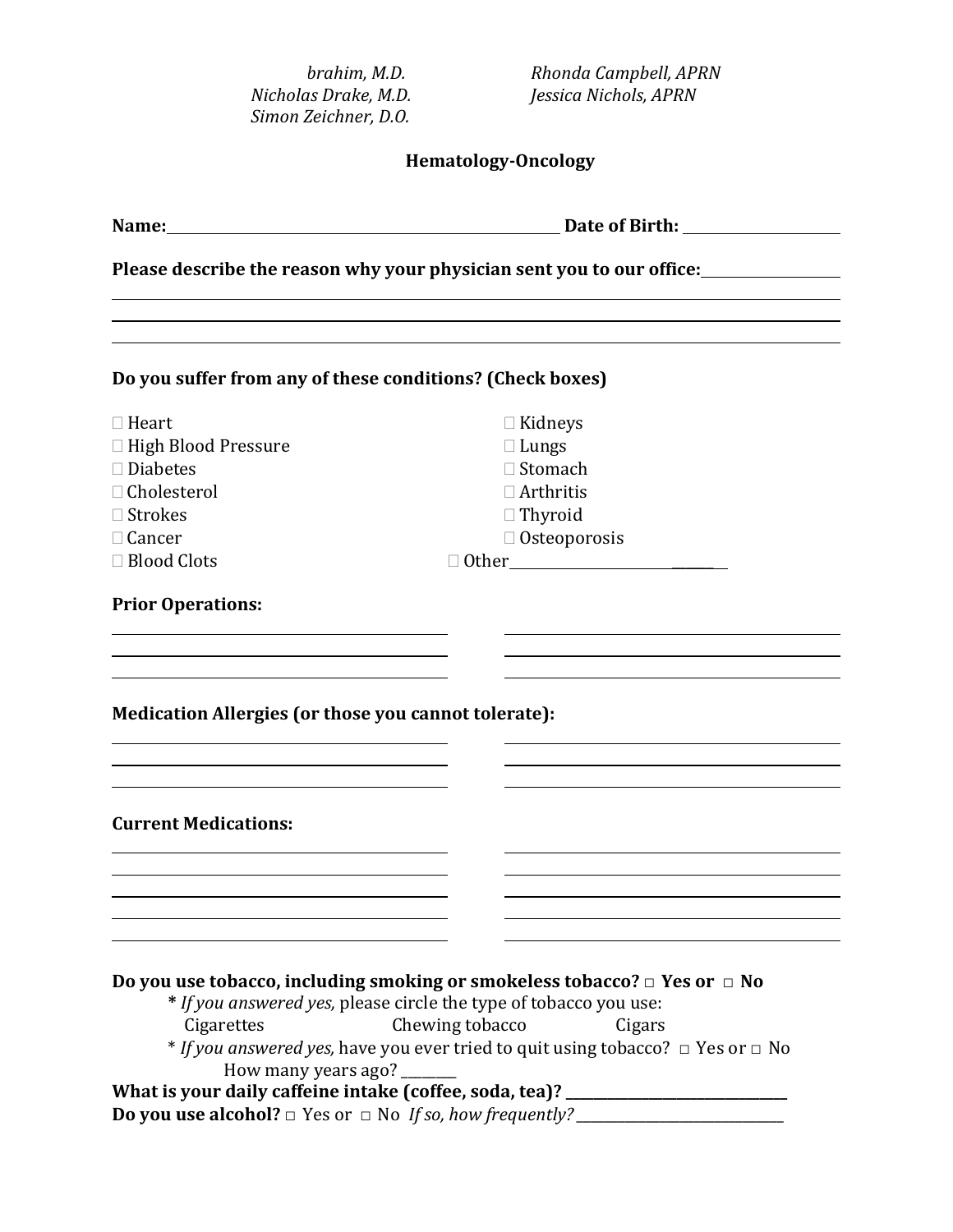| <b>Hematology-Oncology</b><br>Name:<br><u> 1980 - John Stein, Amerikaansk politiker (</u><br>Please describe the reason why your physician sent you to our office:<br>Do you suffer from any of these conditions? (Check boxes)<br>$\Box$ Heart<br>$\Box$ Kidneys<br>□ High Blood Pressure<br>$\Box$ Lungs<br>□ Stomach<br>$\square$ Diabetes<br>□ Cholesterol<br>$\Box$ Arthritis<br>$\Box$ Strokes<br>$\Box$ Thyroid<br>$\Box$ Cancer<br>$\Box$ Osteoporosis<br>□ Blood Clots<br><b>Prior Operations:</b><br>Medication Allergies (or those you cannot tolerate):<br><b>Current Medications:</b><br>Do you use tobacco, including smoking or smokeless tobacco? $\Box$ Yes or $\Box$ No<br>* If you answered yes, please circle the type of tobacco you use:<br>Chewing tobacco<br>Cigarettes<br>Cigars<br><i>* If you answered yes,</i> have you ever tried to quit using tobacco? $\Box$ Yes or $\Box$ No<br>How many years ago?<br>What is your daily caffeine intake (coffee, soda, tea)? ________________________ | brahim, M.D.<br>Nicholas Drake, M.D.<br>Simon Zeichner, D.O. | Rhonda Campbell, APRN<br>Jessica Nichols, APRN    |
|--------------------------------------------------------------------------------------------------------------------------------------------------------------------------------------------------------------------------------------------------------------------------------------------------------------------------------------------------------------------------------------------------------------------------------------------------------------------------------------------------------------------------------------------------------------------------------------------------------------------------------------------------------------------------------------------------------------------------------------------------------------------------------------------------------------------------------------------------------------------------------------------------------------------------------------------------------------------------------------------------------------------------|--------------------------------------------------------------|---------------------------------------------------|
|                                                                                                                                                                                                                                                                                                                                                                                                                                                                                                                                                                                                                                                                                                                                                                                                                                                                                                                                                                                                                          |                                                              |                                                   |
|                                                                                                                                                                                                                                                                                                                                                                                                                                                                                                                                                                                                                                                                                                                                                                                                                                                                                                                                                                                                                          |                                                              | Date of Birth: <u>New York Contract of Birth:</u> |
|                                                                                                                                                                                                                                                                                                                                                                                                                                                                                                                                                                                                                                                                                                                                                                                                                                                                                                                                                                                                                          |                                                              |                                                   |
|                                                                                                                                                                                                                                                                                                                                                                                                                                                                                                                                                                                                                                                                                                                                                                                                                                                                                                                                                                                                                          |                                                              |                                                   |
|                                                                                                                                                                                                                                                                                                                                                                                                                                                                                                                                                                                                                                                                                                                                                                                                                                                                                                                                                                                                                          |                                                              |                                                   |
|                                                                                                                                                                                                                                                                                                                                                                                                                                                                                                                                                                                                                                                                                                                                                                                                                                                                                                                                                                                                                          |                                                              |                                                   |
|                                                                                                                                                                                                                                                                                                                                                                                                                                                                                                                                                                                                                                                                                                                                                                                                                                                                                                                                                                                                                          |                                                              |                                                   |
|                                                                                                                                                                                                                                                                                                                                                                                                                                                                                                                                                                                                                                                                                                                                                                                                                                                                                                                                                                                                                          |                                                              |                                                   |
|                                                                                                                                                                                                                                                                                                                                                                                                                                                                                                                                                                                                                                                                                                                                                                                                                                                                                                                                                                                                                          |                                                              |                                                   |
|                                                                                                                                                                                                                                                                                                                                                                                                                                                                                                                                                                                                                                                                                                                                                                                                                                                                                                                                                                                                                          |                                                              |                                                   |
|                                                                                                                                                                                                                                                                                                                                                                                                                                                                                                                                                                                                                                                                                                                                                                                                                                                                                                                                                                                                                          |                                                              |                                                   |
|                                                                                                                                                                                                                                                                                                                                                                                                                                                                                                                                                                                                                                                                                                                                                                                                                                                                                                                                                                                                                          |                                                              |                                                   |
|                                                                                                                                                                                                                                                                                                                                                                                                                                                                                                                                                                                                                                                                                                                                                                                                                                                                                                                                                                                                                          |                                                              |                                                   |
|                                                                                                                                                                                                                                                                                                                                                                                                                                                                                                                                                                                                                                                                                                                                                                                                                                                                                                                                                                                                                          |                                                              |                                                   |
|                                                                                                                                                                                                                                                                                                                                                                                                                                                                                                                                                                                                                                                                                                                                                                                                                                                                                                                                                                                                                          |                                                              |                                                   |
|                                                                                                                                                                                                                                                                                                                                                                                                                                                                                                                                                                                                                                                                                                                                                                                                                                                                                                                                                                                                                          |                                                              |                                                   |
|                                                                                                                                                                                                                                                                                                                                                                                                                                                                                                                                                                                                                                                                                                                                                                                                                                                                                                                                                                                                                          |                                                              |                                                   |
|                                                                                                                                                                                                                                                                                                                                                                                                                                                                                                                                                                                                                                                                                                                                                                                                                                                                                                                                                                                                                          |                                                              |                                                   |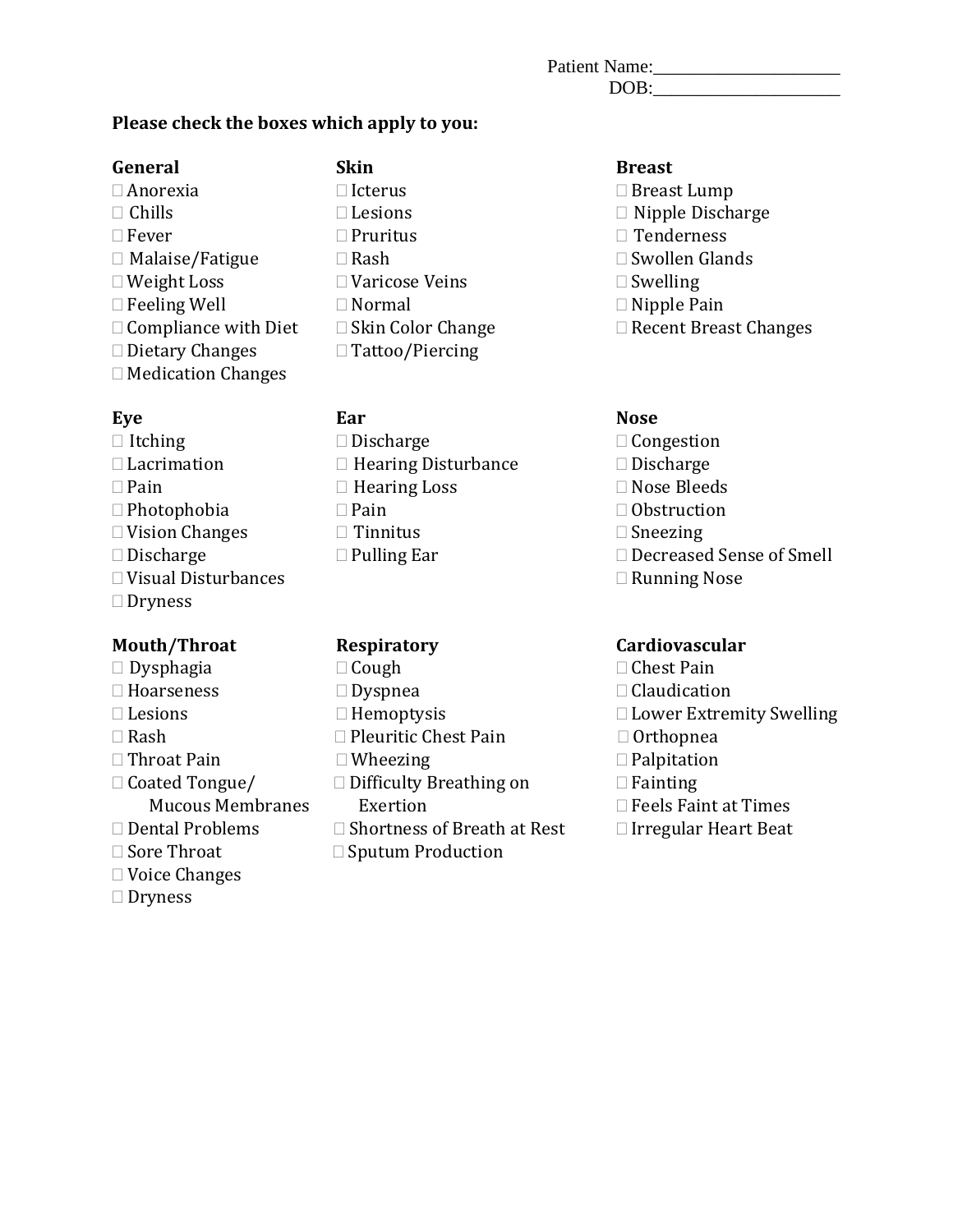| Patient Name: |  |
|---------------|--|
| DOB:          |  |

### **Please check the boxes which apply to you:**

### **General Skin Breast**

 $\Box$  Anorexia  $\Box$  Icterus  $\Box$  Breast Lump  $\Box$  Chills  $\Box$  Lesions  $\Box$  Nipple Disch  $\Box$  Fever  $\Box$  Pruritus  $\Box$  Tenderness  $\Box$  Malaise/Fatigue  $\Box$  Rash  $\Box$  Swollen Glands  $\Box$  Malaise/Fatigue  $\Box$  Rash  $\Box$  Swollen ( $\Box$  Weight Loss  $\Box$  Swelling  $\Box$  Feeling Well  $\Box$  Normal  $\Box$  Compliance with Diet  $\Box$  Skin Color Change  $\Box$  Dietary Changes Medication Changes

- $\Box$  Vision Changes  $\Box$  Tinnitus  $\Box$  Discharge  $\Box$  Pulling Ear  $\Box$  Visual Disturbances
- □ Dryness

- $\Box$  Dysphagia  $\Box$  Cough  $\Box$  Chest Pain
- 
- 
- 
- 
- $\Box$  Throat Pain  $\Box$  Wheezing  $\Box$  Coated Tongue  $\Box$  Difficulty Breathing on  $\Box$  Fainting
- 
- 
- 
- Voice Changes
- □ Dryness

 $\square$  Lesions  $\square$  Nipple Discharge  $\square$  Pruritus  $\square$  Tenderness  $\Box$  Varicose Veins  $\Box$  Swelling  $\Box$  Normal  $\Box$  Nipple Pain  $\Box$  Skin Color Change  $\Box$  Recent Breast Changes  $\Box$  Tattoo/Piercing

- $\Box$  Itching  $\Box$  Discharge  $\Box$  Dengestion  $\Box$  Lacrimation  $\Box$  Hearing Disturbance  $\Box$  Discharge  $\Box$  Lacrimation  $\Box$  Hearing Disturbance  $\Box$  Discharge  $\Box$  Pain  $\Box$  Rose Bleeds  $\Box$  Hearing Loss  $\Box$  Nose Bleeds  $\Box$  Pain  $\Box$  Obstruction  $\Box$  Photophobia  $\Box$  Pain  $\Box$  Obstruction  $\Box$  Vision Changes  $\Box$  Tinnitus  $\Box$  Sneezing
	-

- 
- 
- 
- 
- $\Box$  Rash  $\Box$  Pleuritic Chest Pain  $\Box$  Throat Pain
	-
	- Coated Tongue/ Difficulty Breathing on Fainting
- Mucous Membranes Exertion  $\Box$  Feels Faint at Times<br> $\Box$  Dental Problems  $\Box$  Shortness of Breath at Rest  $\Box$  Irregular Heart Beat  $\Box$  Dental Problems  $\Box$  Shortness of Breath at Rest  $\Box$  Sore Throat  $\Box$  Sputum Production
	- $\square$  Sputum Production

- 
- 
- 
- 
- 
- 
- 

### **Eye Ear Nose**

- 
- 
- 
- 
- 
- $\Box$  Decreased Sense of Smell<br> $\Box$  Running Nose
- 

### **Mouth/Throat Respiratory Cardiovascular**

- 
- $\Box$  Hoarseness  $\Box$  Dyspnea  $\Box$  Laudication  $\Box$  Lesions  $\Box$  Hemoptysis  $\Box$  Lower Extrem
- $\Box$  Lesions  $\Box$  Hemoptysis  $\Box$  Rash  $\Box$  Pleuritic Chest Pain  $\Box$  Orthopnea
	-
	-
	-
	-
	-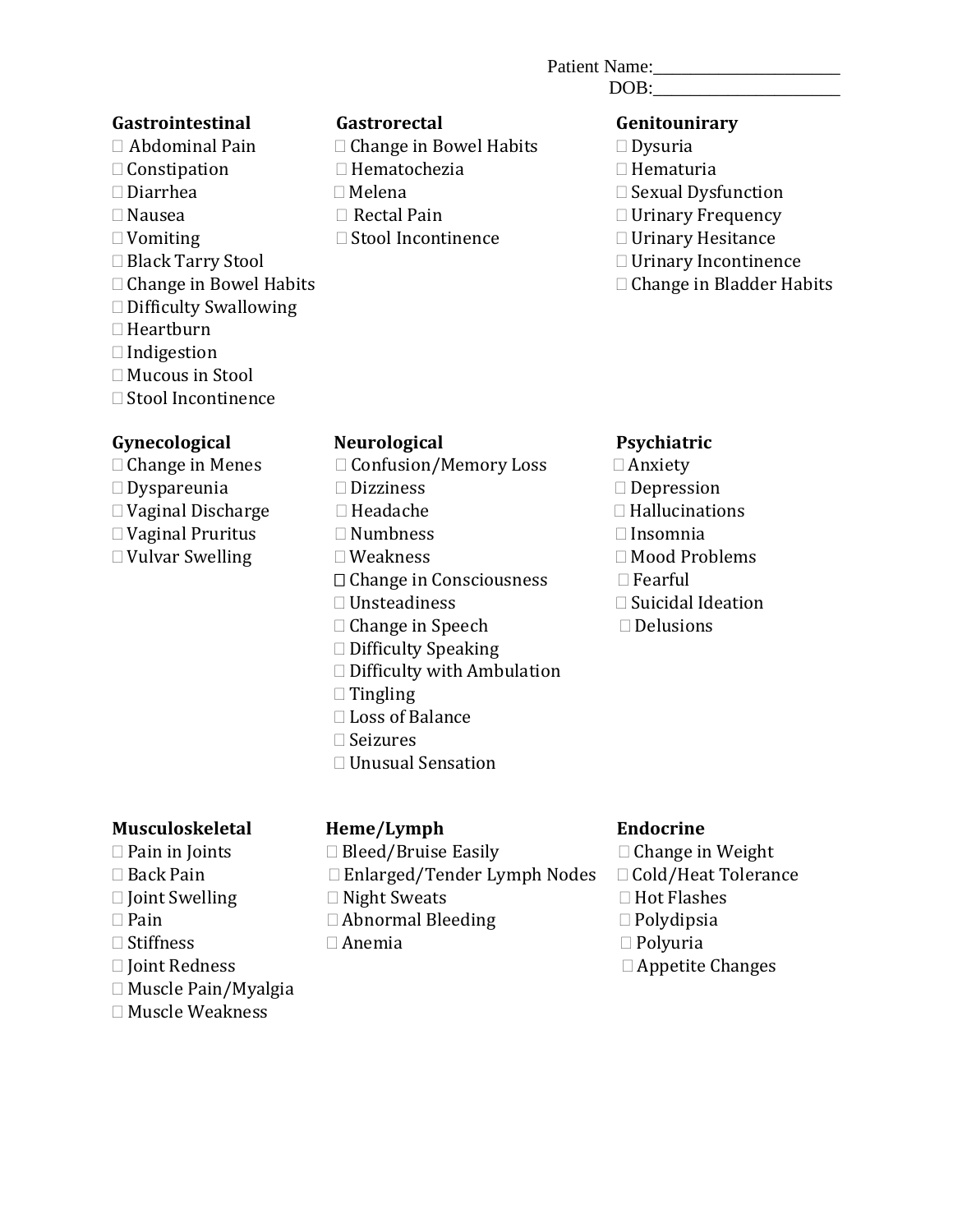### Patient Name:\_\_\_\_\_\_\_\_\_\_\_\_\_\_\_\_\_\_\_\_

DOB:

### **Gastrointestinal Gastrorectal Genitounirary**

- 
- $\Box$  Constipation  $\Box$  Hemato<br> $\Box$  Diarrhea  $\Box$  Melena
- 
- 
- 
- 
- 
- □ Difficulty Swallowing
- □ Heartburn
- $\Box$  Indigestion
- Mucous in Stool
- Stool Incontinence

### **Gynecological Neurological Psychiatric**

- 
- 
- $\square$  Dyspareunia  $\square$  Dizziness  $\square$  Depression  $\square$  Depression  $\square$  Hallucinations
- $\Box$  Vaginal Discharge  $\Box$  Headache  $\Box$  Hallucinations  $\Box$  Hallucinations  $\Box$  Hallucinations  $\Box$  Hallucinations  $\Box$  Hallucinations  $\Box$  Hallucinations  $\Box$  Hallucinations  $\Box$  Hallucinations  $\Box$  Hallucinations  $\Box$
- $\square$  Vaginal Pruritus  $\square$  Numbness  $\square$  Vulvar Swelling  $\square$  Weakness  $\square$  Mood Problems

- $\Box$  Abdominal Pain  $\Box$  Change in Bowel Habits  $\Box$  Dysuria  $\Box$  Constination  $\Box$  Hematochezia  $\Box$  Hematuria
	-
	-
	-
- Vomiting Stool Incontinence Urinary Hesitance

- 
- 
- $\square$  Diarrhea  $\square$  Melena  $\square$  Melena  $\square$  Sexual Dysfunction  $\square$  Nausea
	-
- Nausea Rectal Pain Urinary Frequency
	-
- Black Tarry Stool Urinary Incontinence  $\Box$  Change in Bladder Habits

- $\Box$  Change in Menes  $\Box$  Confusion/Memory Loss  $\Box$  Anxiety  $\Box$  Dyspareunia  $\Box$  Dizziness  $\Box$  Depression
	-
	-
	-
	-
- $\Box$  Vulvar Swelling  $\Box$  Weakness  $\Box$  Mood Problems  $\Box$  Change in Consciousness  $\Box$  Fearful  $\Box$  Change in Consciousness  $\Box$  Unsteadiness
	- $\Box$  Change in Speech
	- $\Box$  Difficulty Speaking
	- □ Difficulty with Ambulation
	-
	-
	- $\Box$  Seizures
	- Unusual Sensation

### **Musculoskeletal Heme/Lymph Endocrine**

- 
- 
- 
- 
- 
- 
- Muscle Pain/Myalgia
- Muscle Weakness

- 
- $\Box$  Enlarged/Tender Lymph Nodes  $\Box$  Cold/Heat T $\Box$  Night Sweats  $\Box$  Hot Flashes
- 
- $\square$  Pain  $\square$  Abnormal Bleeding  $\square$  Polydipsi $\square$  Stiffness  $\square$  Anemia
	-

 $\Box$  Pain in Joints  $\Box$  Bleed/Bruise Easily  $\Box$  Change in Weight  $\Box$  Back Pain  $\Box$  Enlarged/Tender Lymph Nodes  $\Box$  Cold/Heat Tolerance  $\Box$  Joint Swelling  $\Box$  Night Sweats  $\Box$  Pain  $\Box$  Pain  $\Box$  Abnormal Bleeding  $\Box$  Polydipsia  $\square$  Stiffness  $\square$  Anemia  $\square$  Polyuria  $\Box$  Joint Redness  $\Box$  Appetite Changes

 $\square$  Suicidal Ideation<br> $\square$  Delusions

### $\Box$  Tingling □ Loss of Balance

- 
- 
-